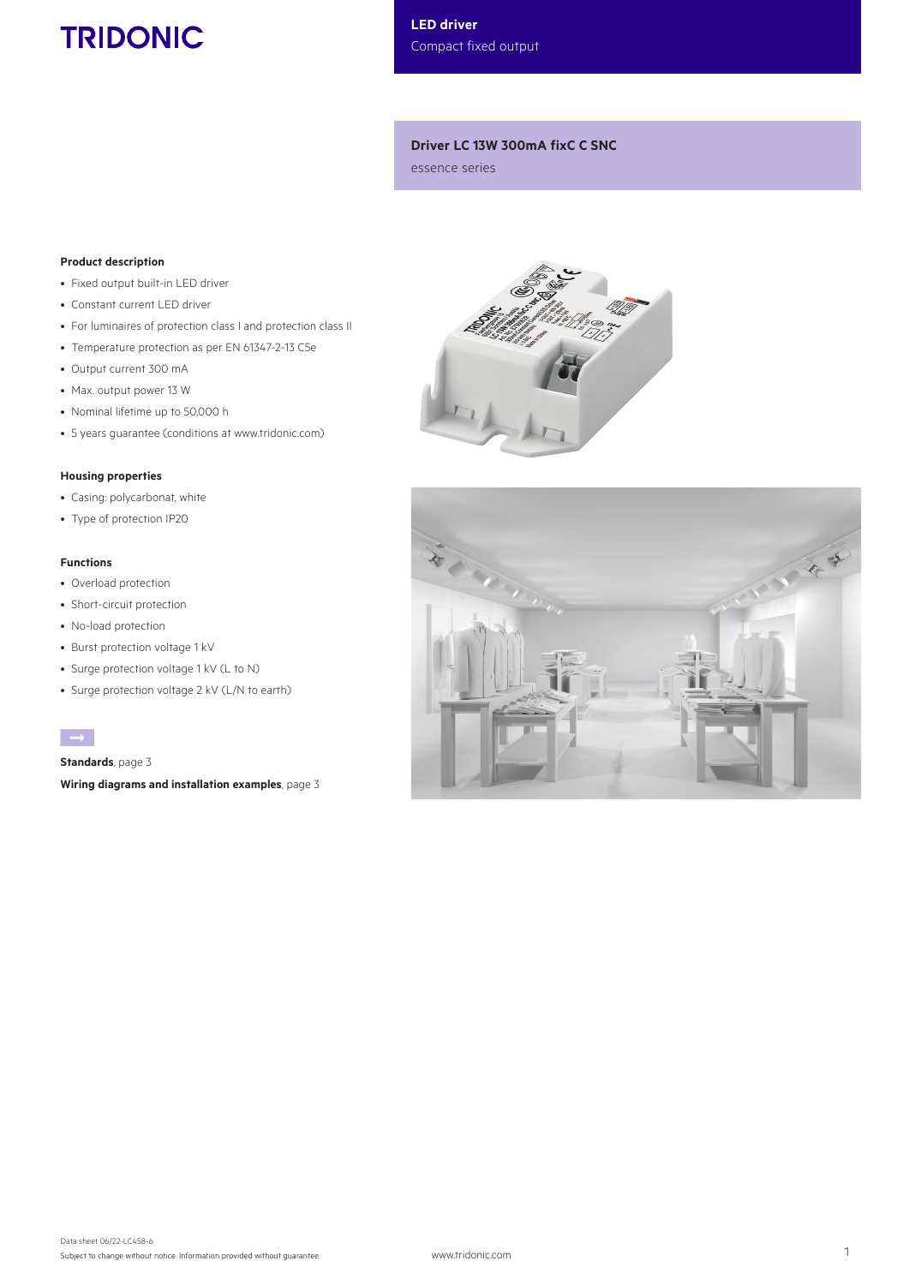# **TRIDONIC**

LED driver Compact fixed output

# Driver LC 13W 300mA fixC C SNC

essence series

# Product description

- Fixed output built-in LED driver
- Constant current LED driver
- For luminaires of protection class I and protection class II
- Temperature protection as per EN 61347-2-13 C5e
- Output current 300 mA
- Max. output power 13 W
- Nominal lifetime up to 50,000 h
- 5 years guarantee (conditions at www.tridonic.com)

# Housing properties

- Casing: polycarbonat, white
- Type of protection IP20

# Functions

- Overload protection
- Short-circuit protection
- No-load protection
- Burst protection voltage 1 kV
- Surge protection voltage 1 kV (L to N)
- Surge protection voltage 2 kV (L/N to earth)

È

Standards, page 3

Wiring diagrams and installation examples, page 3



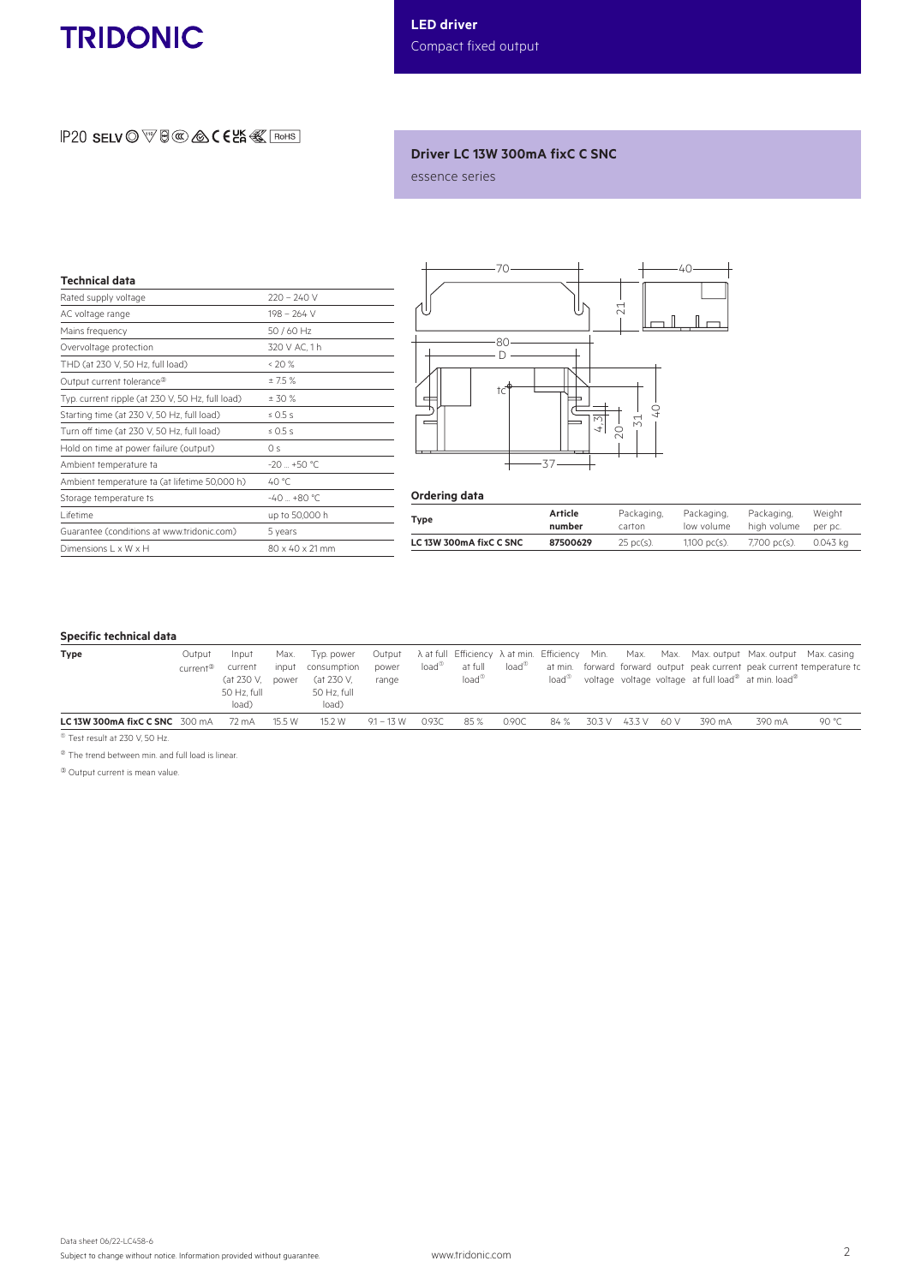# **TRIDONIC**

# $IP20$  SELV  $\odot$   $\overline{\mathbb{V}}$   $\boxplus$   $\otimes$   $\otimes$   $\in$   $\in$   $\mathbb{K}$   $\overline{\mathbb{R}}$   $\overline{\mathbb{R}}$  ohs

# Driver LC 13W 300mA fixC C SNC

essence series

| <b>Technical data</b>                            |                 |
|--------------------------------------------------|-----------------|
| Rated supply voltage                             | $220 - 240$ V   |
| AC voltage range                                 | $198 - 264$ V   |
| Mains frequency                                  | 50 / 60 Hz      |
| Overvoltage protection                           | 320 V AC, 1 h   |
| THD (at 230 V, 50 Hz, full load)                 | &520%           |
| Output current tolerance <sup>®</sup>            | ±7.5%           |
| Typ. current ripple (at 230 V, 50 Hz, full load) | ± 30%           |
| Starting time (at 230 V, 50 Hz, full load)       | $\leq$ 0.5 s    |
| Turn off time (at 230 V, 50 Hz, full load)       | $\leq 0.5$ s    |
| Hold on time at power failure (output)           | 0 <sup>s</sup>  |
| Ambient temperature ta                           | $-20 + 50$ °C.  |
| Ambient temperature ta (at lifetime 50,000 h)    | 40 °C           |
| Storage temperature ts                           | $-40 - +80$ °C  |
| I ifetime                                        | up to 50,000 h  |
| Guarantee (conditions at www.tridonic.com)       | 5 years         |
| Dimensions L x W x H                             | 80 x 40 x 21 mm |



#### Ordering data

| Type                    | Article  | Packaging,           | Packaging,      | Packaging.   | Weight   |
|-------------------------|----------|----------------------|-----------------|--------------|----------|
|                         | number   | carton               | low volume      | high volume  | per pc.  |
| LC 13W 300mA fixC C SNC | 87500629 | $25 \text{ pc(s)}$ . | $1,100~pc(s)$ . | 7,700 pc(s). | 0.043 ka |

# Specific technical data

| <b>Type</b>                    | Output               | Input                       | Max.   | Tvp. power                |                |                |                           |                |                |        |        |       |        | Output A at full Efficiency A at min. Efficiency Min. Max. Max. Max. output Max. output Max. casing |                                                                         |
|--------------------------------|----------------------|-----------------------------|--------|---------------------------|----------------|----------------|---------------------------|----------------|----------------|--------|--------|-------|--------|-----------------------------------------------------------------------------------------------------|-------------------------------------------------------------------------|
|                                | current <sup>3</sup> | current<br>(at 230 V, power | input  | consumption<br>(at 230 V, | power<br>range | $load^{\circ}$ | at full<br>$load^{\circ}$ | $load^{\circ}$ | $load^{\circ}$ |        |        |       |        | voltage voltage voltage at full load <sup>®</sup> at min. load <sup>®</sup>                         | at min. forward forward output peak current peak current temperature to |
|                                |                      | 50 Hz. full                 |        | 50 Hz, full               |                |                |                           |                |                |        |        |       |        |                                                                                                     |                                                                         |
|                                |                      | load)                       |        | load)                     |                |                |                           |                |                |        |        |       |        |                                                                                                     |                                                                         |
| LC 13W 300mA fixC C SNC 300 mA |                      | 72 mA                       | 15.5 W | 15.2 W                    | $9.1 - 13$ W   | 0.93C          | 85 %                      | 0.90C          | 84 %           | 30.3 V | 43.3 V | -60 V | 390 mA | 390 mA                                                                                              | 90 °C                                                                   |

 $\overline{^{\circ}$  Test result at 230 V, 50 Hz.

 $^{\circledR}$  The trend between min. and full load is linear.

<sup>3</sup> Output current is mean value.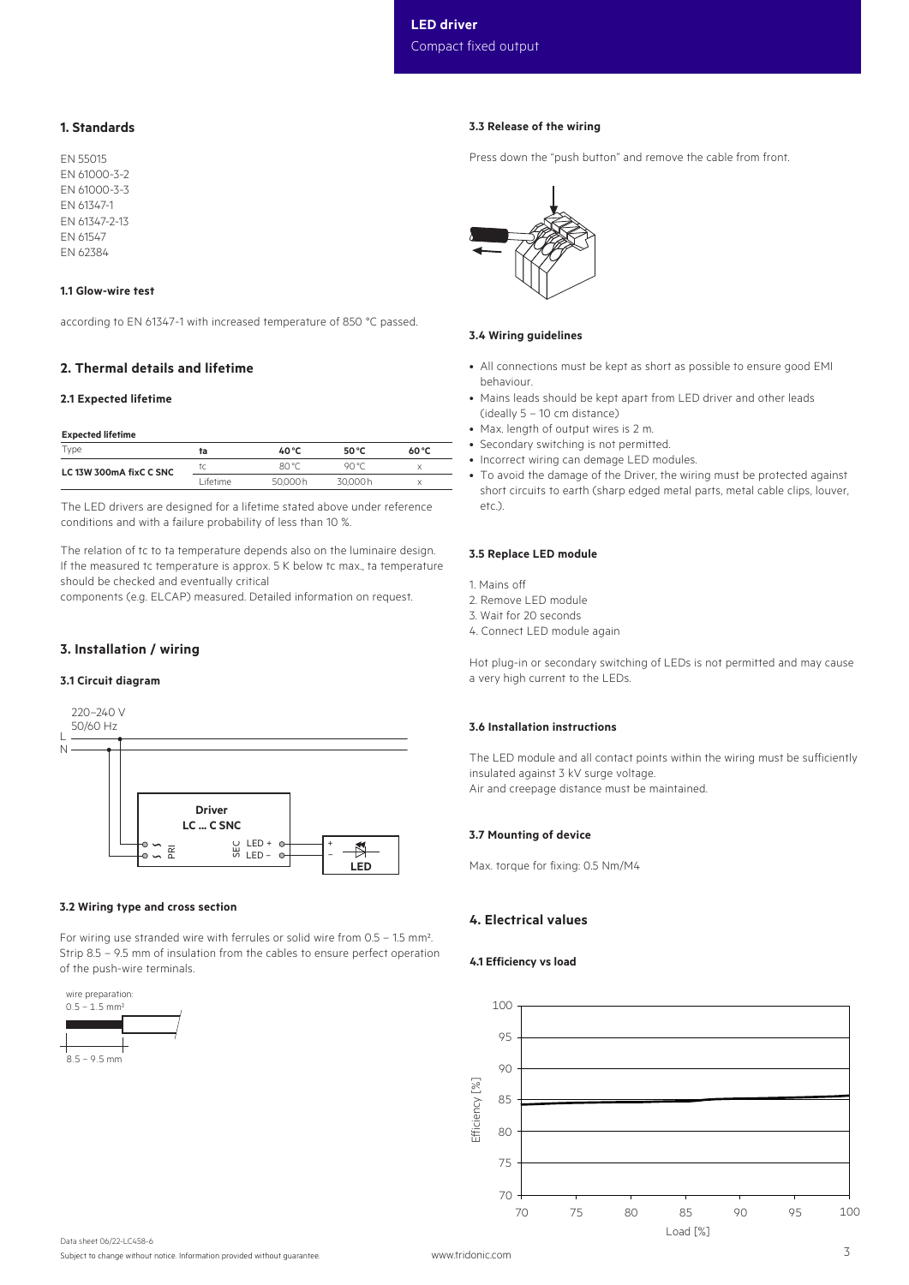# 1. Standards

EN 55015 EN 61000-3-2 EN 61000-3-3 EN 61347-1 EN 61347-2-13 EN 61547 EN 62384

#### 1.1 Glow-wire test

according to EN 61347-1 with increased temperature of 850 °C passed.

# 2. Thermal details and lifetime

## 2.1 Expected lifetime

#### Expected lifetime

| Type                    | ta      | 40 °C   | 50 °C   | $60^{\circ}$ C |
|-------------------------|---------|---------|---------|----------------|
| LC 13W 300mA fixC C SNC |         | 80 °C   | on °r   |                |
|                         | ifetime | 50.000h | 30.000h |                |

The LED drivers are designed for a lifetime stated above under reference conditions and with a failure probability of less than 10 %.

The relation of tc to ta temperature depends also on the luminaire design. If the measured tc temperature is approx. 5 K below tc max., ta temperature should be checked and eventually critical

components (e.g. ELCAP) measured. Detailed information on request.

### 3. Installation / wiring

#### 3.1 Circuit diagram



#### 3.2 Wiring type and cross section

For wiring use stranded wire with ferrules or solid wire from 0.5 – 1.5 mm². Strip 8.5 – 9.5 mm of insulation from the cables to ensure perfect operation of the push-wire terminals.



### 3.3 Release of the wiring

Press down the "push button" and remove the cable from front.



#### 3.4 Wiring guidelines

- All connections must be kept as short as possible to ensure good EMI behaviour.
- Mains leads should be kept apart from LED driver and other leads (ideally 5 – 10 cm distance)
- Max. length of output wires is 2 m.
- Secondary switching is not permitted.
- Incorrect wiring can demage LED modules.
- To avoid the damage of the Driver, the wiring must be protected against short circuits to earth (sharp edged metal parts, metal cable clips, louver, etc.).

#### 3.5 Replace LED module

1. Mains off

- 2. Remove LED module
- 3. Wait for 20 seconds
- 4. Connect LED module again

Hot plug-in or secondary switching of LEDs is not permitted and may cause a very high current to the LEDs.

#### 3.6 Installation instructions

The LED module and all contact points within the wiring must be sufficiently insulated against 3 kV surge voltage. Air and creepage distance must be maintained.

#### 3.7 Mounting of device

Max. torque for fixing: 0.5 Nm/M4

### 4. Electrical values

#### 4.1 Efficiency vs load

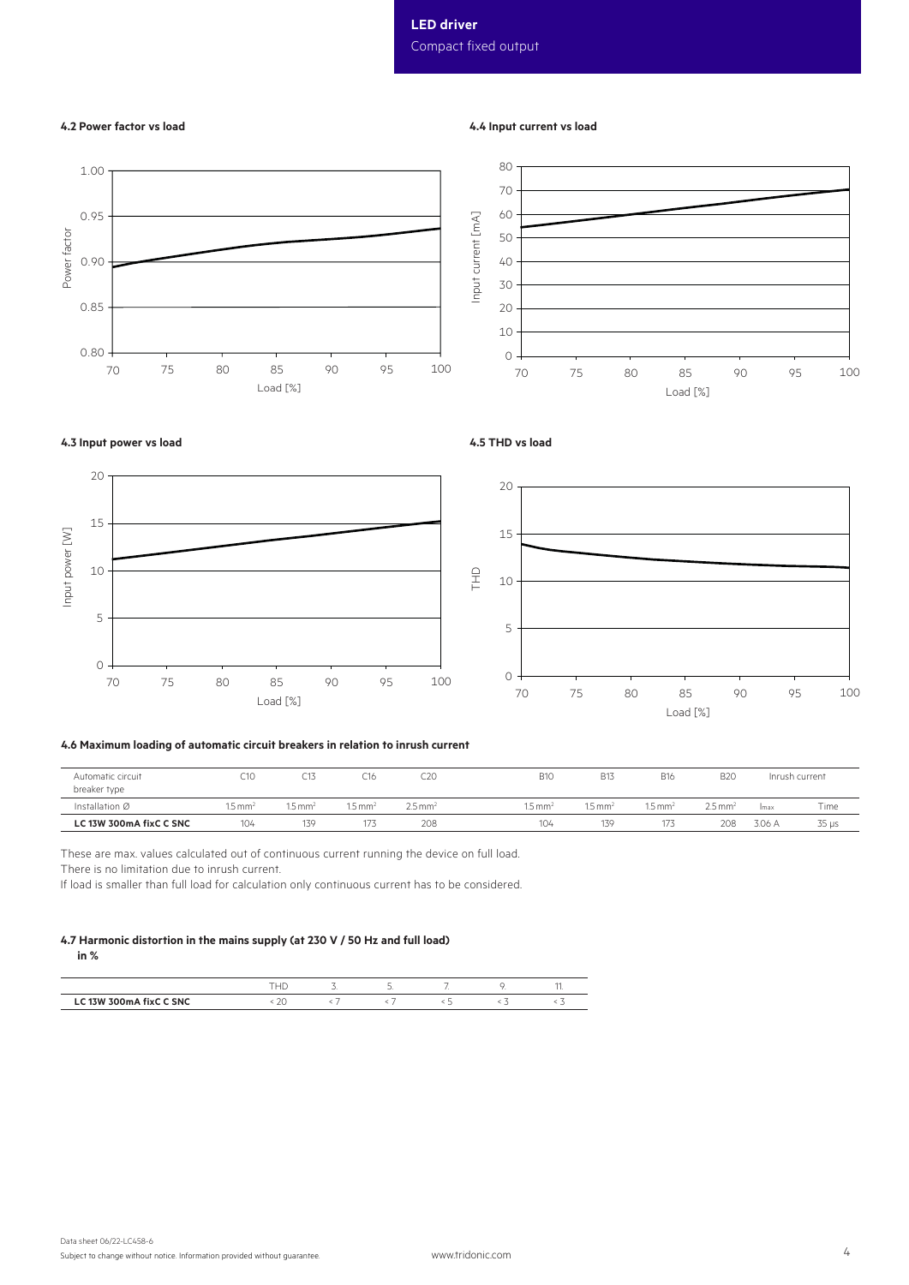# LED driver Compact fixed output

# 4.2 Power factor vs load

### 4.4 Input current vs load

4.5 THD vs load





# 4.3 Input power vs load



#### 4.6 Maximum loading of automatic circuit breakers in relation to inrush current

| Automatic circuit<br>breaker type | C <sub>10</sub>   | C13                | L 16               | C20                 | <b>B10</b>       | <b>B13</b>                   | <b>B16</b>                    | B <sub>2C</sub>       |        | Inrush current |
|-----------------------------------|-------------------|--------------------|--------------------|---------------------|------------------|------------------------------|-------------------------------|-----------------------|--------|----------------|
| Installation Ø                    | $.5 \text{ mm}^2$ | $1.5 \text{ mm}^2$ | $1.5 \text{ mm}^2$ | $2.5 \,\mathrm{mm}$ | $1.5 \text{ mm}$ | $15 \text{ mm}$ <sup>2</sup> | $1.5 \text{ mm}$ <sup>2</sup> | $2.5$ mm <sup>2</sup> | Imax   | Time           |
| LC 13W 300mA fixC C SNC           | 104               | 139                | 173                | 208                 | 104              | 139                          | 173                           | 208                   | 3.06 A | $35 \mu s$     |

These are max. values calculated out of continuous current running the device on full load. There is no limitation due to inrush current.

If load is smaller than full load for calculation only continuous current has to be considered.

#### 4.7 Harmonic distortion in the mains supply (at 230 V / 50 Hz and full load) in %

|                                           |      | ے | $\overline{\phantom{a}}$ |         |  |
|-------------------------------------------|------|---|--------------------------|---------|--|
| <b><i>FIVE CANC</i></b><br>'7 W<br>- 2146 | ____ |   |                          | _______ |  |